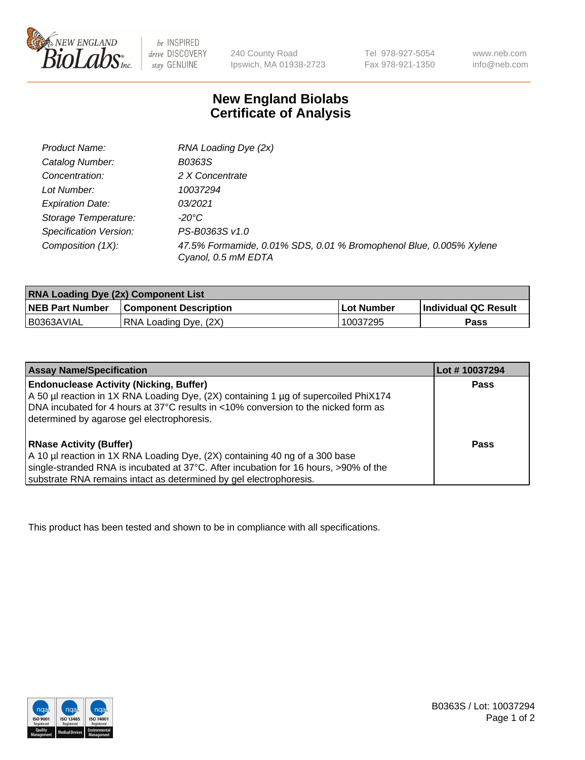

 $be$  INSPIRED drive DISCOVERY stay GENUINE

240 County Road Ipswich, MA 01938-2723 Tel 978-927-5054 Fax 978-921-1350 www.neb.com info@neb.com

## **New England Biolabs Certificate of Analysis**

| Product Name:           | RNA Loading Dye (2x)                                                                      |
|-------------------------|-------------------------------------------------------------------------------------------|
| Catalog Number:         | B0363S                                                                                    |
| Concentration:          | 2 X Concentrate                                                                           |
| Lot Number:             | 10037294                                                                                  |
| <b>Expiration Date:</b> | 03/2021                                                                                   |
| Storage Temperature:    | -20°C                                                                                     |
| Specification Version:  | PS-B0363S v1.0                                                                            |
| Composition (1X):       | 47.5% Formamide, 0.01% SDS, 0.01 % Bromophenol Blue, 0.005% Xylene<br>Cyanol, 0.5 mM EDTA |

| <b>RNA Loading Dye (2x) Component List</b> |                              |            |                             |  |
|--------------------------------------------|------------------------------|------------|-----------------------------|--|
| <b>NEB Part Number</b>                     | <b>Component Description</b> | Lot Number | <b>Individual QC Result</b> |  |
| B0363AVIAL                                 | RNA Loading Dye, (2X)        | 10037295   | Pass                        |  |

| <b>Assay Name/Specification</b>                                                                                                                                                                                                                                             | Lot #10037294 |
|-----------------------------------------------------------------------------------------------------------------------------------------------------------------------------------------------------------------------------------------------------------------------------|---------------|
| <b>Endonuclease Activity (Nicking, Buffer)</b><br>A 50 µl reaction in 1X RNA Loading Dye, (2X) containing 1 µg of supercoiled PhiX174<br>DNA incubated for 4 hours at 37°C results in <10% conversion to the nicked form as<br>determined by agarose gel electrophoresis.   | <b>Pass</b>   |
| <b>RNase Activity (Buffer)</b><br>A 10 µl reaction in 1X RNA Loading Dye, (2X) containing 40 ng of a 300 base<br>single-stranded RNA is incubated at 37°C. After incubation for 16 hours, >90% of the<br>substrate RNA remains intact as determined by gel electrophoresis. | Pass          |

This product has been tested and shown to be in compliance with all specifications.